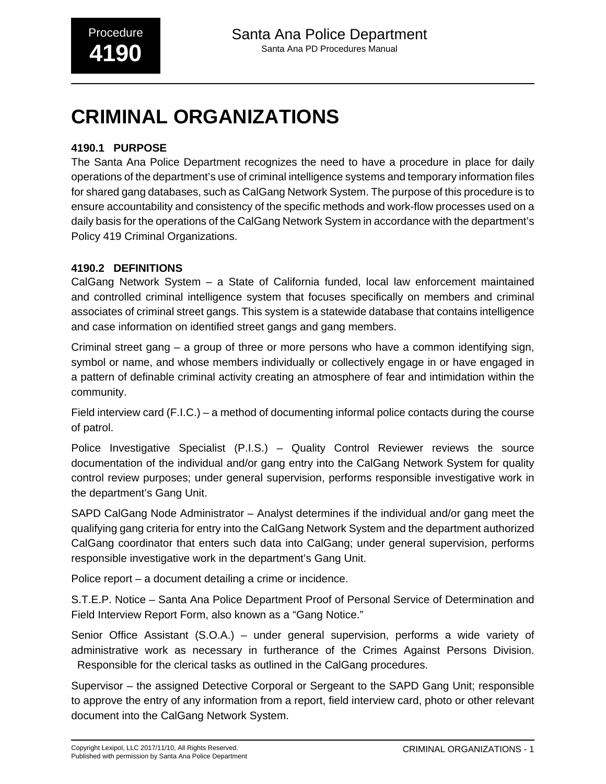# **4190.1 PURPOSE**

The Santa Ana Police Department recognizes the need to have a procedure in place for daily operations of the department's use of criminal intelligence systems and temporary information files for shared gang databases, such as CalGang Network System. The purpose of this procedure is to ensure accountability and consistency of the specific methods and work-flow processes used on a daily basis for the operations of the CalGang Network System in accordance with the department's Policy 419 Criminal Organizations.

# **4190.2 DEFINITIONS**

CalGang Network System – a State of California funded, local law enforcement maintained and controlled criminal intelligence system that focuses specifically on members and criminal associates of criminal street gangs. This system is a statewide database that contains intelligence and case information on identified street gangs and gang members.

Criminal street gang – a group of three or more persons who have a common identifying sign, symbol or name, and whose members individually or collectively engage in or have engaged in a pattern of definable criminal activity creating an atmosphere of fear and intimidation within the community.

Field interview card (F.I.C.) – a method of documenting informal police contacts during the course of patrol.

Police Investigative Specialist (P.I.S.) – Quality Control Reviewer reviews the source documentation of the individual and/or gang entry into the CalGang Network System for quality control review purposes; under general supervision, performs responsible investigative work in the department's Gang Unit.

SAPD CalGang Node Administrator – Analyst determines if the individual and/or gang meet the qualifying gang criteria for entry into the CalGang Network System and the department authorized CalGang coordinator that enters such data into CalGang; under general supervision, performs responsible investigative work in the department's Gang Unit.

Police report – a document detailing a crime or incidence.

S.T.E.P. Notice – Santa Ana Police Department Proof of Personal Service of Determination and Field Interview Report Form, also known as a "Gang Notice."

Senior Office Assistant (S.O.A.) – under general supervision, performs a wide variety of administrative work as necessary in furtherance of the Crimes Against Persons Division. Responsible for the clerical tasks as outlined in the CalGang procedures.

Supervisor – the assigned Detective Corporal or Sergeant to the SAPD Gang Unit; responsible to approve the entry of any information from a report, field interview card, photo or other relevant document into the CalGang Network System.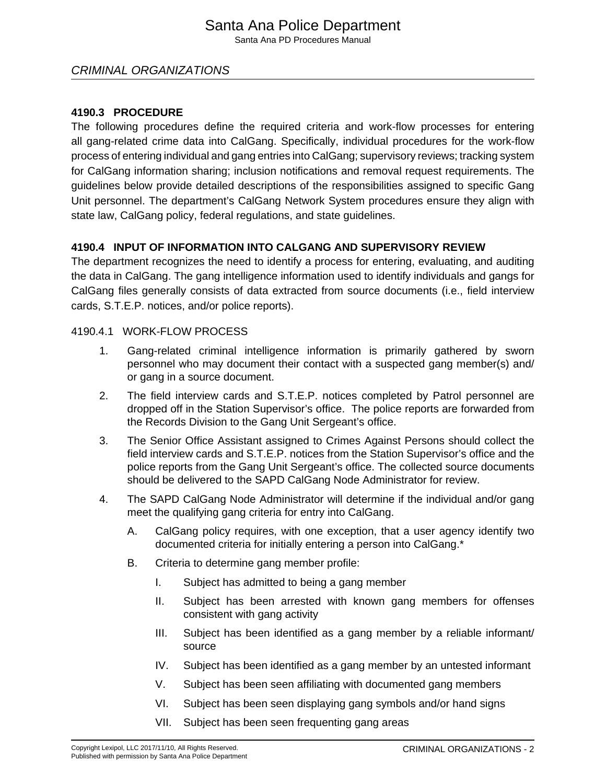# Santa Ana Police Department

Santa Ana PD Procedures Manual

# CRIMINAL ORGANIZATIONS

#### **4190.3 PROCEDURE**

The following procedures define the required criteria and work-flow processes for entering all gang-related crime data into CalGang. Specifically, individual procedures for the work-flow process of entering individual and gang entries into CalGang; supervisory reviews; tracking system for CalGang information sharing; inclusion notifications and removal request requirements. The guidelines below provide detailed descriptions of the responsibilities assigned to specific Gang Unit personnel. The department's CalGang Network System procedures ensure they align with state law, CalGang policy, federal regulations, and state guidelines.

#### **4190.4 INPUT OF INFORMATION INTO CALGANG AND SUPERVISORY REVIEW**

The department recognizes the need to identify a process for entering, evaluating, and auditing the data in CalGang. The gang intelligence information used to identify individuals and gangs for CalGang files generally consists of data extracted from source documents (i.e., field interview cards, S.T.E.P. notices, and/or police reports).

#### 4190.4.1 WORK-FLOW PROCESS

- 1. Gang-related criminal intelligence information is primarily gathered by sworn personnel who may document their contact with a suspected gang member(s) and/ or gang in a source document.
- 2. The field interview cards and S.T.E.P. notices completed by Patrol personnel are dropped off in the Station Supervisor's office. The police reports are forwarded from the Records Division to the Gang Unit Sergeant's office.
- 3. The Senior Office Assistant assigned to Crimes Against Persons should collect the field interview cards and S.T.E.P. notices from the Station Supervisor's office and the police reports from the Gang Unit Sergeant's office. The collected source documents should be delivered to the SAPD CalGang Node Administrator for review.
- 4. The SAPD CalGang Node Administrator will determine if the individual and/or gang meet the qualifying gang criteria for entry into CalGang.
	- A. CalGang policy requires, with one exception, that a user agency identify two documented criteria for initially entering a person into CalGang.\*
	- B. Criteria to determine gang member profile:
		- I. Subject has admitted to being a gang member
		- II. Subject has been arrested with known gang members for offenses consistent with gang activity
		- III. Subject has been identified as a gang member by a reliable informant/ source
		- IV. Subject has been identified as a gang member by an untested informant
		- V. Subject has been seen affiliating with documented gang members
		- VI. Subject has been seen displaying gang symbols and/or hand signs
		- VII. Subject has been seen frequenting gang areas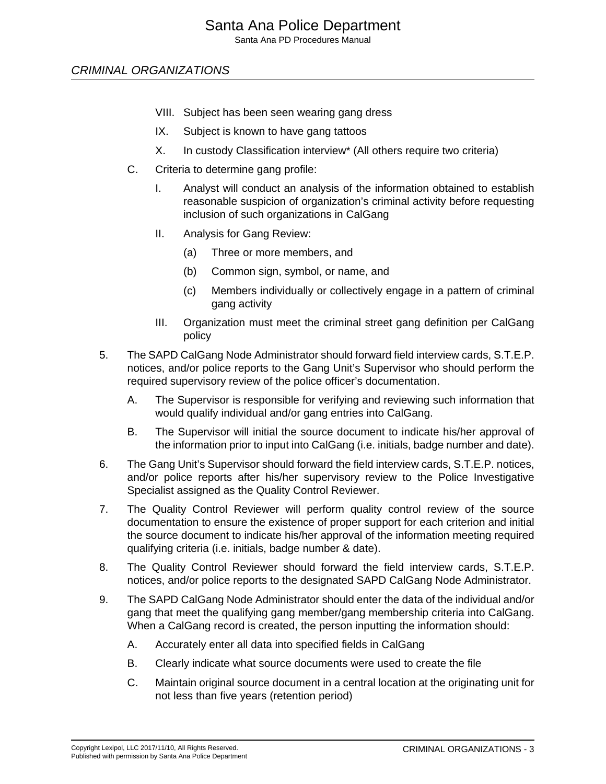Santa Ana PD Procedures Manual

# CRIMINAL ORGANIZATIONS

- VIII. Subject has been seen wearing gang dress
- IX. Subject is known to have gang tattoos
- X. In custody Classification interview\* (All others require two criteria)
- C. Criteria to determine gang profile:
	- I. Analyst will conduct an analysis of the information obtained to establish reasonable suspicion of organization's criminal activity before requesting inclusion of such organizations in CalGang
	- II. Analysis for Gang Review:
		- (a) Three or more members, and
		- (b) Common sign, symbol, or name, and
		- (c) Members individually or collectively engage in a pattern of criminal gang activity
	- III. Organization must meet the criminal street gang definition per CalGang policy
- 5. The SAPD CalGang Node Administrator should forward field interview cards, S.T.E.P. notices, and/or police reports to the Gang Unit's Supervisor who should perform the required supervisory review of the police officer's documentation.
	- A. The Supervisor is responsible for verifying and reviewing such information that would qualify individual and/or gang entries into CalGang.
	- B. The Supervisor will initial the source document to indicate his/her approval of the information prior to input into CalGang (i.e. initials, badge number and date).
- 6. The Gang Unit's Supervisor should forward the field interview cards, S.T.E.P. notices, and/or police reports after his/her supervisory review to the Police Investigative Specialist assigned as the Quality Control Reviewer.
- 7. The Quality Control Reviewer will perform quality control review of the source documentation to ensure the existence of proper support for each criterion and initial the source document to indicate his/her approval of the information meeting required qualifying criteria (i.e. initials, badge number & date).
- 8. The Quality Control Reviewer should forward the field interview cards, S.T.E.P. notices, and/or police reports to the designated SAPD CalGang Node Administrator.
- 9. The SAPD CalGang Node Administrator should enter the data of the individual and/or gang that meet the qualifying gang member/gang membership criteria into CalGang. When a CalGang record is created, the person inputting the information should:
	- A. Accurately enter all data into specified fields in CalGang
	- B. Clearly indicate what source documents were used to create the file
	- C. Maintain original source document in a central location at the originating unit for not less than five years (retention period)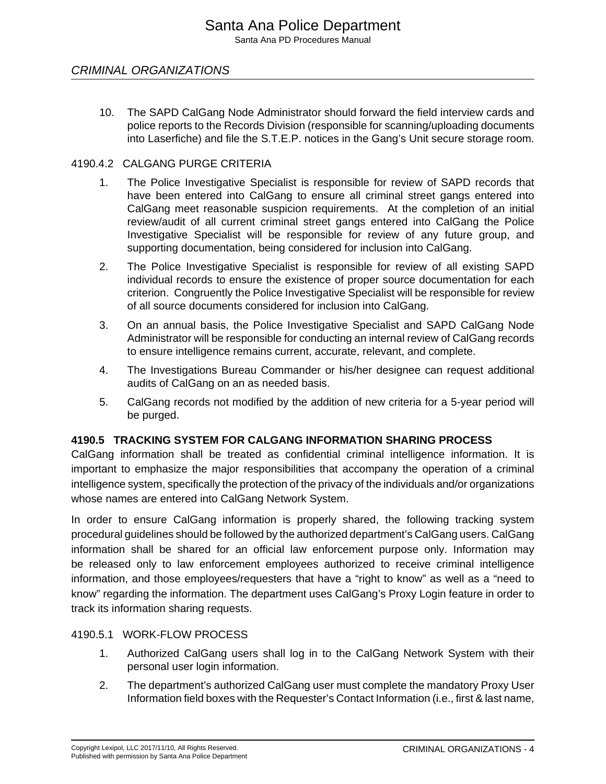10. The SAPD CalGang Node Administrator should forward the field interview cards and police reports to the Records Division (responsible for scanning/uploading documents into Laserfiche) and file the S.T.E.P. notices in the Gang's Unit secure storage room.

#### 4190.4.2 CALGANG PURGE CRITERIA

- 1. The Police Investigative Specialist is responsible for review of SAPD records that have been entered into CalGang to ensure all criminal street gangs entered into CalGang meet reasonable suspicion requirements. At the completion of an initial review/audit of all current criminal street gangs entered into CalGang the Police Investigative Specialist will be responsible for review of any future group, and supporting documentation, being considered for inclusion into CalGang.
- 2. The Police Investigative Specialist is responsible for review of all existing SAPD individual records to ensure the existence of proper source documentation for each criterion. Congruently the Police Investigative Specialist will be responsible for review of all source documents considered for inclusion into CalGang.
- 3. On an annual basis, the Police Investigative Specialist and SAPD CalGang Node Administrator will be responsible for conducting an internal review of CalGang records to ensure intelligence remains current, accurate, relevant, and complete.
- 4. The Investigations Bureau Commander or his/her designee can request additional audits of CalGang on an as needed basis.
- 5. CalGang records not modified by the addition of new criteria for a 5-year period will be purged.

#### **4190.5 TRACKING SYSTEM FOR CALGANG INFORMATION SHARING PROCESS**

CalGang information shall be treated as confidential criminal intelligence information. It is important to emphasize the major responsibilities that accompany the operation of a criminal intelligence system, specifically the protection of the privacy of the individuals and/or organizations whose names are entered into CalGang Network System.

In order to ensure CalGang information is properly shared, the following tracking system procedural guidelines should be followed by the authorized department's CalGang users. CalGang information shall be shared for an official law enforcement purpose only. Information may be released only to law enforcement employees authorized to receive criminal intelligence information, and those employees/requesters that have a "right to know" as well as a "need to know" regarding the information. The department uses CalGang's Proxy Login feature in order to track its information sharing requests.

#### 4190.5.1 WORK-FLOW PROCESS

- 1. Authorized CalGang users shall log in to the CalGang Network System with their personal user login information.
- 2. The department's authorized CalGang user must complete the mandatory Proxy User Information field boxes with the Requester's Contact Information (i.e., first & last name,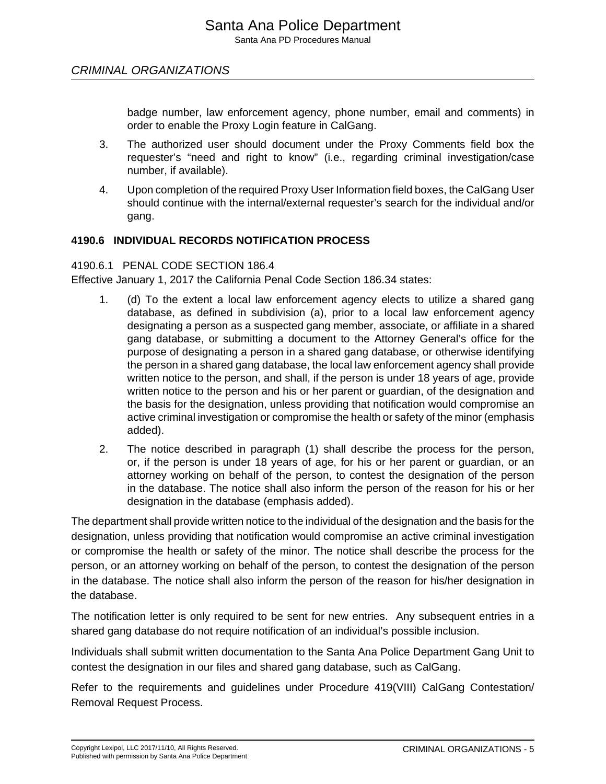badge number, law enforcement agency, phone number, email and comments) in order to enable the Proxy Login feature in CalGang.

- 3. The authorized user should document under the Proxy Comments field box the requester's "need and right to know" (i.e., regarding criminal investigation/case number, if available).
- 4. Upon completion of the required Proxy User Information field boxes, the CalGang User should continue with the internal/external requester's search for the individual and/or gang.

# **4190.6 INDIVIDUAL RECORDS NOTIFICATION PROCESS**

#### 4190.6.1 PENAL CODE SECTION 186.4

Effective January 1, 2017 the California Penal Code Section 186.34 states:

- 1. (d) To the extent a local law enforcement agency elects to utilize a shared gang database, as defined in subdivision (a), prior to a local law enforcement agency designating a person as a suspected gang member, associate, or affiliate in a shared gang database, or submitting a document to the Attorney General's office for the purpose of designating a person in a shared gang database, or otherwise identifying the person in a shared gang database, the local law enforcement agency shall provide written notice to the person, and shall, if the person is under 18 years of age, provide written notice to the person and his or her parent or guardian, of the designation and the basis for the designation, unless providing that notification would compromise an active criminal investigation or compromise the health or safety of the minor (emphasis added).
- 2. The notice described in paragraph (1) shall describe the process for the person, or, if the person is under 18 years of age, for his or her parent or guardian, or an attorney working on behalf of the person, to contest the designation of the person in the database. The notice shall also inform the person of the reason for his or her designation in the database (emphasis added).

The department shall provide written notice to the individual of the designation and the basis for the designation, unless providing that notification would compromise an active criminal investigation or compromise the health or safety of the minor. The notice shall describe the process for the person, or an attorney working on behalf of the person, to contest the designation of the person in the database. The notice shall also inform the person of the reason for his/her designation in the database.

The notification letter is only required to be sent for new entries. Any subsequent entries in a shared gang database do not require notification of an individual's possible inclusion.

Individuals shall submit written documentation to the Santa Ana Police Department Gang Unit to contest the designation in our files and shared gang database, such as CalGang.

Refer to the requirements and guidelines under Procedure 419(VIII) CalGang Contestation/ Removal Request Process.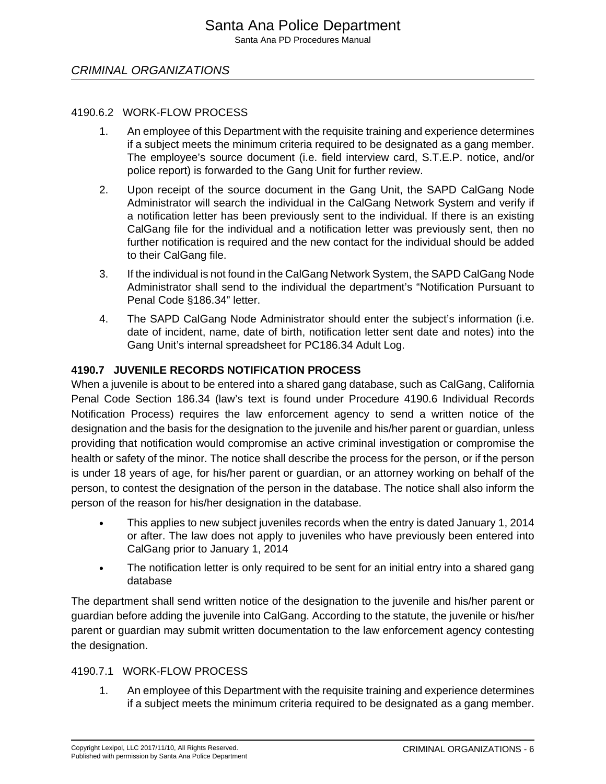#### 4190.6.2 WORK-FLOW PROCESS

- 1. An employee of this Department with the requisite training and experience determines if a subject meets the minimum criteria required to be designated as a gang member. The employee's source document (i.e. field interview card, S.T.E.P. notice, and/or police report) is forwarded to the Gang Unit for further review.
- 2. Upon receipt of the source document in the Gang Unit, the SAPD CalGang Node Administrator will search the individual in the CalGang Network System and verify if a notification letter has been previously sent to the individual. If there is an existing CalGang file for the individual and a notification letter was previously sent, then no further notification is required and the new contact for the individual should be added to their CalGang file.
- 3. If the individual is not found in the CalGang Network System, the SAPD CalGang Node Administrator shall send to the individual the department's "Notification Pursuant to Penal Code §186.34" letter.
- 4. The SAPD CalGang Node Administrator should enter the subject's information (i.e. date of incident, name, date of birth, notification letter sent date and notes) into the Gang Unit's internal spreadsheet for PC186.34 Adult Log.

#### **4190.7 JUVENILE RECORDS NOTIFICATION PROCESS**

When a juvenile is about to be entered into a shared gang database, such as CalGang, California Penal Code Section 186.34 (law's text is found under Procedure 4190.6 Individual Records Notification Process) requires the law enforcement agency to send a written notice of the designation and the basis for the designation to the juvenile and his/her parent or guardian, unless providing that notification would compromise an active criminal investigation or compromise the health or safety of the minor. The notice shall describe the process for the person, or if the person is under 18 years of age, for his/her parent or guardian, or an attorney working on behalf of the person, to contest the designation of the person in the database. The notice shall also inform the person of the reason for his/her designation in the database.

- This applies to new subject juveniles records when the entry is dated January 1, 2014 or after. The law does not apply to juveniles who have previously been entered into CalGang prior to January 1, 2014
- The notification letter is only required to be sent for an initial entry into a shared gang database

The department shall send written notice of the designation to the juvenile and his/her parent or guardian before adding the juvenile into CalGang. According to the statute, the juvenile or his/her parent or guardian may submit written documentation to the law enforcement agency contesting the designation.

#### 4190.7.1 WORK-FLOW PROCESS

1. An employee of this Department with the requisite training and experience determines if a subject meets the minimum criteria required to be designated as a gang member.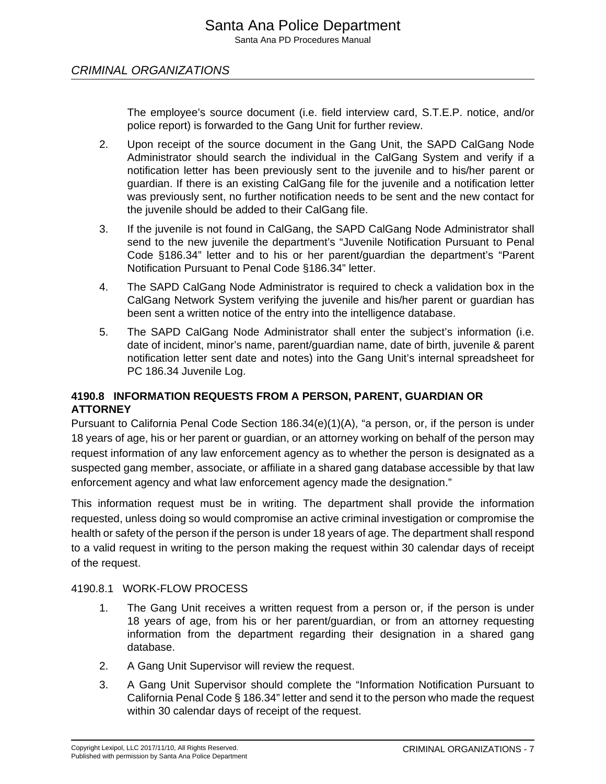The employee's source document (i.e. field interview card, S.T.E.P. notice, and/or police report) is forwarded to the Gang Unit for further review.

- 2. Upon receipt of the source document in the Gang Unit, the SAPD CalGang Node Administrator should search the individual in the CalGang System and verify if a notification letter has been previously sent to the juvenile and to his/her parent or guardian. If there is an existing CalGang file for the juvenile and a notification letter was previously sent, no further notification needs to be sent and the new contact for the juvenile should be added to their CalGang file.
- 3. If the juvenile is not found in CalGang, the SAPD CalGang Node Administrator shall send to the new juvenile the department's "Juvenile Notification Pursuant to Penal Code §186.34" letter and to his or her parent/guardian the department's "Parent Notification Pursuant to Penal Code §186.34" letter.
- 4. The SAPD CalGang Node Administrator is required to check a validation box in the CalGang Network System verifying the juvenile and his/her parent or guardian has been sent a written notice of the entry into the intelligence database.
- 5. The SAPD CalGang Node Administrator shall enter the subject's information (i.e. date of incident, minor's name, parent/guardian name, date of birth, juvenile & parent notification letter sent date and notes) into the Gang Unit's internal spreadsheet for PC 186.34 Juvenile Log.

# **4190.8 INFORMATION REQUESTS FROM A PERSON, PARENT, GUARDIAN OR ATTORNEY**

Pursuant to California Penal Code Section 186.34(e)(1)(A), "a person, or, if the person is under 18 years of age, his or her parent or guardian, or an attorney working on behalf of the person may request information of any law enforcement agency as to whether the person is designated as a suspected gang member, associate, or affiliate in a shared gang database accessible by that law enforcement agency and what law enforcement agency made the designation."

This information request must be in writing. The department shall provide the information requested, unless doing so would compromise an active criminal investigation or compromise the health or safety of the person if the person is under 18 years of age. The department shall respond to a valid request in writing to the person making the request within 30 calendar days of receipt of the request.

#### 4190.8.1 WORK-FLOW PROCESS

- 1. The Gang Unit receives a written request from a person or, if the person is under 18 years of age, from his or her parent/guardian, or from an attorney requesting information from the department regarding their designation in a shared gang database.
- 2. A Gang Unit Supervisor will review the request.
- 3. A Gang Unit Supervisor should complete the "Information Notification Pursuant to California Penal Code § 186.34" letter and send it to the person who made the request within 30 calendar days of receipt of the request.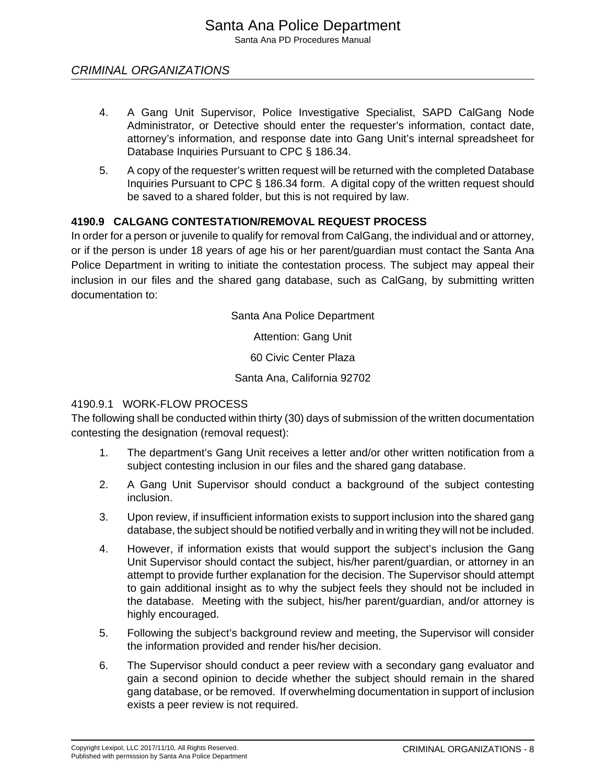- 4. A Gang Unit Supervisor, Police Investigative Specialist, SAPD CalGang Node Administrator, or Detective should enter the requester's information, contact date, attorney's information, and response date into Gang Unit's internal spreadsheet for Database Inquiries Pursuant to CPC § 186.34.
- 5. A copy of the requester's written request will be returned with the completed Database Inquiries Pursuant to CPC § 186.34 form. A digital copy of the written request should be saved to a shared folder, but this is not required by law.

# **4190.9 CALGANG CONTESTATION/REMOVAL REQUEST PROCESS**

In order for a person or juvenile to qualify for removal from CalGang, the individual and or attorney, or if the person is under 18 years of age his or her parent/guardian must contact the Santa Ana Police Department in writing to initiate the contestation process. The subject may appeal their inclusion in our files and the shared gang database, such as CalGang, by submitting written documentation to:

Santa Ana Police Department

Attention: Gang Unit

60 Civic Center Plaza

Santa Ana, California 92702

#### 4190.9.1 WORK-FLOW PROCESS

The following shall be conducted within thirty (30) days of submission of the written documentation contesting the designation (removal request):

- 1. The department's Gang Unit receives a letter and/or other written notification from a subject contesting inclusion in our files and the shared gang database.
- 2. A Gang Unit Supervisor should conduct a background of the subject contesting inclusion.
- 3. Upon review, if insufficient information exists to support inclusion into the shared gang database, the subject should be notified verbally and in writing they will not be included.
- 4. However, if information exists that would support the subject's inclusion the Gang Unit Supervisor should contact the subject, his/her parent/guardian, or attorney in an attempt to provide further explanation for the decision. The Supervisor should attempt to gain additional insight as to why the subject feels they should not be included in the database. Meeting with the subject, his/her parent/guardian, and/or attorney is highly encouraged.
- 5. Following the subject's background review and meeting, the Supervisor will consider the information provided and render his/her decision.
- 6. The Supervisor should conduct a peer review with a secondary gang evaluator and gain a second opinion to decide whether the subject should remain in the shared gang database, or be removed. If overwhelming documentation in support of inclusion exists a peer review is not required.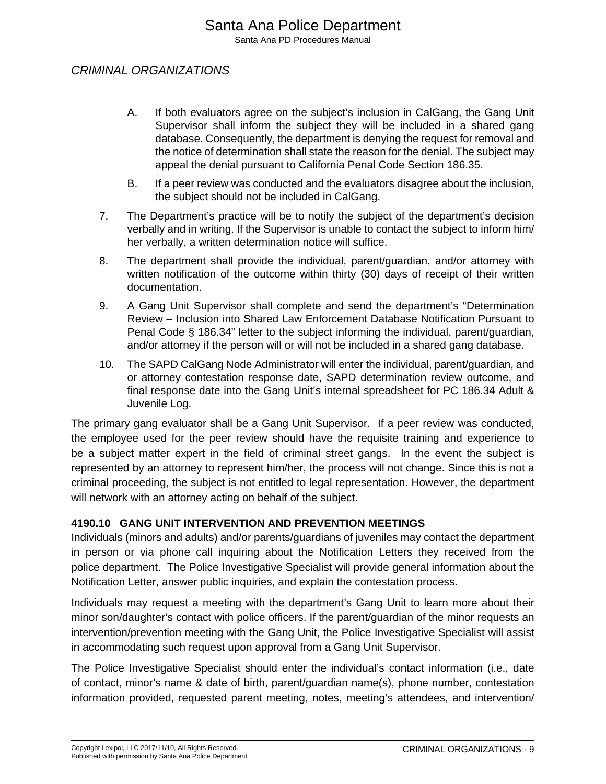- A. If both evaluators agree on the subject's inclusion in CalGang, the Gang Unit Supervisor shall inform the subject they will be included in a shared gang database. Consequently, the department is denying the request for removal and the notice of determination shall state the reason for the denial. The subject may appeal the denial pursuant to California Penal Code Section 186.35.
- B. If a peer review was conducted and the evaluators disagree about the inclusion, the subject should not be included in CalGang.
- 7. The Department's practice will be to notify the subject of the department's decision verbally and in writing. If the Supervisor is unable to contact the subject to inform him/ her verbally, a written determination notice will suffice.
- 8. The department shall provide the individual, parent/guardian, and/or attorney with written notification of the outcome within thirty (30) days of receipt of their written documentation.
- 9. A Gang Unit Supervisor shall complete and send the department's "Determination Review – Inclusion into Shared Law Enforcement Database Notification Pursuant to Penal Code § 186.34" letter to the subject informing the individual, parent/guardian, and/or attorney if the person will or will not be included in a shared gang database.
- 10. The SAPD CalGang Node Administrator will enter the individual, parent/guardian, and or attorney contestation response date, SAPD determination review outcome, and final response date into the Gang Unit's internal spreadsheet for PC 186.34 Adult & Juvenile Log.

The primary gang evaluator shall be a Gang Unit Supervisor. If a peer review was conducted, the employee used for the peer review should have the requisite training and experience to be a subject matter expert in the field of criminal street gangs. In the event the subject is represented by an attorney to represent him/her, the process will not change. Since this is not a criminal proceeding, the subject is not entitled to legal representation. However, the department will network with an attorney acting on behalf of the subject.

# **4190.10 GANG UNIT INTERVENTION AND PREVENTION MEETINGS**

Individuals (minors and adults) and/or parents/guardians of juveniles may contact the department in person or via phone call inquiring about the Notification Letters they received from the police department. The Police Investigative Specialist will provide general information about the Notification Letter, answer public inquiries, and explain the contestation process.

Individuals may request a meeting with the department's Gang Unit to learn more about their minor son/daughter's contact with police officers. If the parent/guardian of the minor requests an intervention/prevention meeting with the Gang Unit, the Police Investigative Specialist will assist in accommodating such request upon approval from a Gang Unit Supervisor.

The Police Investigative Specialist should enter the individual's contact information (i.e., date of contact, minor's name & date of birth, parent/guardian name(s), phone number, contestation information provided, requested parent meeting, notes, meeting's attendees, and intervention/